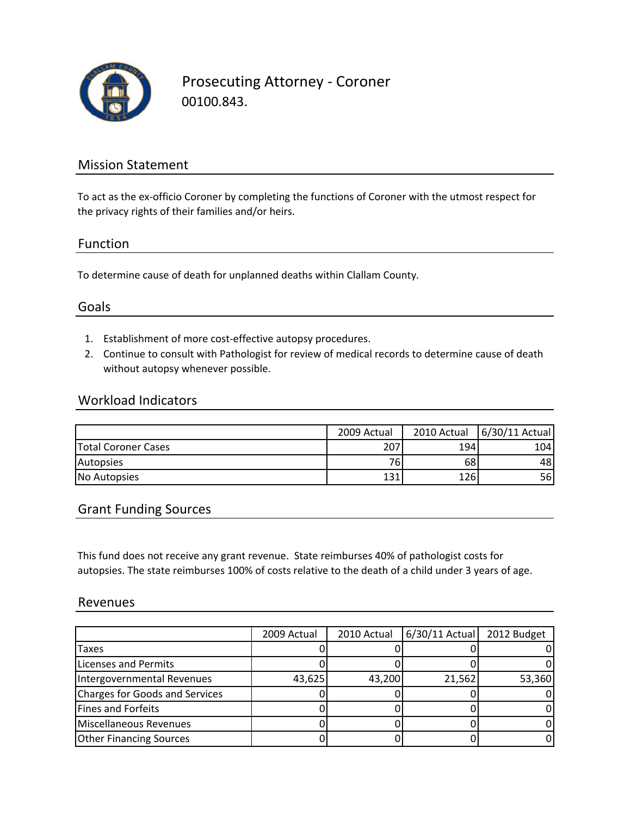

Prosecuting Attorney ‐ Coroner 00100.843.

## Mission Statement

To act as the ex-officio Coroner by completing the functions of Coroner with the utmost respect for the privacy rights of their families and/or heirs.

#### Function

To determine cause of death for unplanned deaths within Clallam County.

### Goals

- 1. Establishment of more cost‐effective autopsy procedures.
- 2. Continue to consult with Pathologist for review of medical records to determine cause of death without autopsy whenever possible.

#### Workload Indicators

|                            | 2009 Actual | 2010 Actual | 6/30/11 Actual |
|----------------------------|-------------|-------------|----------------|
| <b>Total Coroner Cases</b> | 207         | 194         | 104            |
| Autopsies                  | 76.         | 68          | 48'            |
| No Autopsies               | 131         | 126         | 56             |

### Grant Funding Sources

This fund does not receive any grant revenue. State reimburses 40% of pathologist costs for autopsies. The state reimburses 100% of costs relative to the death of a child under 3 years of age.

#### Revenues

|                                | 2009 Actual | 2010 Actual | $6/30/11$ Actual | 2012 Budget |
|--------------------------------|-------------|-------------|------------------|-------------|
| <b>Taxes</b>                   |             |             |                  |             |
| Licenses and Permits           |             |             |                  |             |
| Intergovernmental Revenues     | 43,625      | 43,200      | 21,562           | 53,360      |
| Charges for Goods and Services |             |             |                  |             |
| Fines and Forfeits             |             |             |                  |             |
| Miscellaneous Revenues         |             |             |                  |             |
| <b>Other Financing Sources</b> |             |             |                  |             |